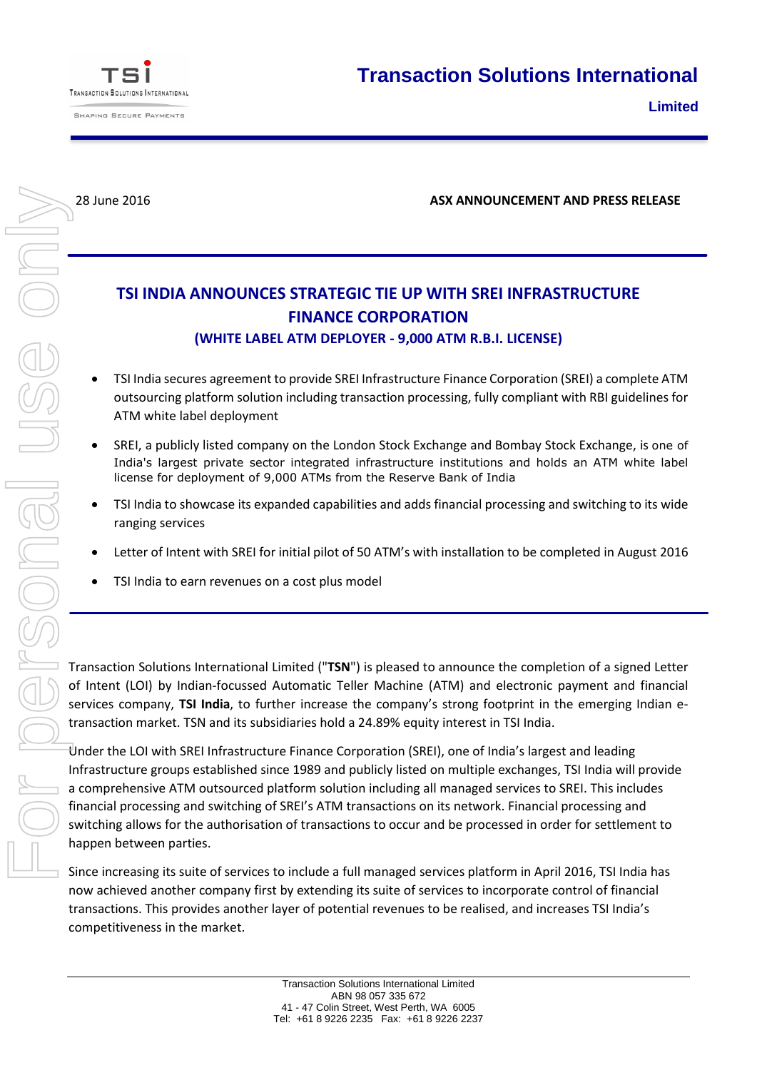

**SHAPING SECURE PAYMENTS** 



28 June 2016 **ASX ANNOUNCEMENT AND PRESS RELEASE**

## **TSI INDIA ANNOUNCES STRATEGIC TIE UP WITH SREI INFRASTRUCTURE FINANCE CORPORATION**

## **(WHITE LABEL ATM DEPLOYER - 9,000 ATM R.B.I. LICENSE)**

- TSI India secures agreement to provide SREI Infrastructure Finance Corporation (SREI) a complete ATM outsourcing platform solution including transaction processing, fully compliant with RBI guidelines for ATM white label deployment
- SREI, a publicly listed company on the London Stock Exchange and Bombay Stock Exchange, is one of India's largest private sector integrated infrastructure institutions and holds an ATM white label license for deployment of 9,000 ATMs from the Reserve Bank of India
- TSI India to showcase its expanded capabilities and adds financial processing and switching to its wide ranging services
- Letter of Intent with SREI for initial pilot of 50 ATM's with installation to be completed in August 2016
- TSI India to earn revenues on a cost plus model

Transaction Solutions International Limited ("**TSN**") is pleased to announce the completion of a signed Letter of Intent (LOI) by Indian-focussed Automatic Teller Machine (ATM) and electronic payment and financial services company, **TSI India**, to further increase the company's strong footprint in the emerging Indian etransaction market. TSN and its subsidiaries hold a 24.89% equity interest in TSI India.

Under the LOI with SREI Infrastructure Finance Corporation (SREI), one of India's largest and leading Infrastructure groups established since 1989 and publicly listed on multiple exchanges, TSI India will provide a comprehensive ATM outsourced platform solution including all managed services to SREI. This includes financial processing and switching of SREI's ATM transactions on its network. Financial processing and switching allows for the authorisation of transactions to occur and be processed in order for settlement to happen between parties.

Since increasing its suite of services to include a full managed services platform in April 2016, TSI India has now achieved another company first by extending its suite of services to incorporate control of financial transactions. This provides another layer of potential revenues to be realised, and increases TSI India's competitiveness in the market.